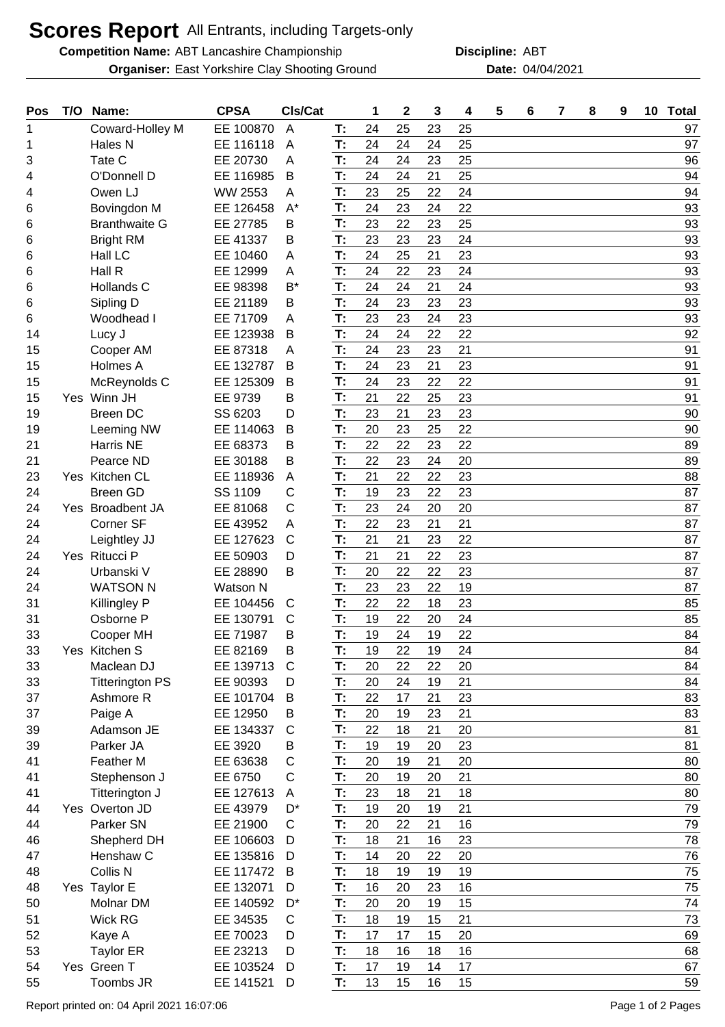## **Scores Report** All Entrants, including Targets-only

**Competition Name:** ABT Lancashire Championship **ABT** Discipline: ABT

**Organiser:** East Yorkshire Clay Shooting Ground **Date:** 04/04/2021

**Discipline:**

| Pos | T/O | Name:                  | <b>CPSA</b>     | CIs/Cat      |    | 1  | $\mathbf 2$ | 3  | 4  | 5 | 6 | 7 | 8 | 9 | 10 | <b>Total</b> |
|-----|-----|------------------------|-----------------|--------------|----|----|-------------|----|----|---|---|---|---|---|----|--------------|
| 1   |     | Coward-Holley M        | EE 100870       | A            | Т: | 24 | 25          | 23 | 25 |   |   |   |   |   |    | 97           |
| 1   |     | Hales N                | EE 116118       | A            | T: | 24 | 24          | 24 | 25 |   |   |   |   |   |    | 97           |
| 3   |     | Tate C                 | EE 20730        | A            | T: | 24 | 24          | 23 | 25 |   |   |   |   |   |    | 96           |
| 4   |     | O'Donnell D            | EE 116985       | B            | T: | 24 | 24          | 21 | 25 |   |   |   |   |   |    | 94           |
| 4   |     | Owen LJ                | <b>WW 2553</b>  | Α            | T: | 23 | 25          | 22 | 24 |   |   |   |   |   |    | 94           |
| 6   |     | Bovingdon M            | EE 126458       | $A^*$        | T: | 24 | 23          | 24 | 22 |   |   |   |   |   |    | 93           |
| 6   |     | <b>Branthwaite G</b>   | EE 27785        | В            | T: | 23 | 22          | 23 | 25 |   |   |   |   |   |    | 93           |
| 6   |     | <b>Bright RM</b>       | EE 41337        | Β            | T: | 23 | 23          | 23 | 24 |   |   |   |   |   |    | 93           |
| 6   |     | Hall LC                | EE 10460        | A            | T: | 24 | 25          | 21 | 23 |   |   |   |   |   |    | 93           |
| 6   |     | Hall R                 | EE 12999        | A            | T: | 24 | 22          | 23 | 24 |   |   |   |   |   |    | 93           |
| 6   |     | Hollands C             | EE 98398        | B*           | T: | 24 | 24          | 21 | 24 |   |   |   |   |   |    | 93           |
| 6   |     | Sipling D              | EE 21189        | В            | T: | 24 | 23          | 23 | 23 |   |   |   |   |   |    | 93           |
| 6   |     | Woodhead I             | EE 71709        | A            | T: | 23 | 23          | 24 | 23 |   |   |   |   |   |    | 93           |
| 14  |     | Lucy J                 | EE 123938       | B            | T: | 24 | 24          | 22 | 22 |   |   |   |   |   |    | 92           |
| 15  |     | Cooper AM              | EE 87318        | A            | T: | 24 | 23          | 23 | 21 |   |   |   |   |   |    | 91           |
| 15  |     | Holmes A               | EE 132787       | B            | T: | 24 | 23          | 21 | 23 |   |   |   |   |   |    | 91           |
| 15  |     | McReynolds C           | EE 125309       | Β            | T: | 24 | 23          | 22 | 22 |   |   |   |   |   |    | 91           |
| 15  |     | Yes Winn JH            | EE 9739         | В            | T: | 21 | 22          | 25 | 23 |   |   |   |   |   |    | 91           |
| 19  |     | <b>Breen DC</b>        | SS 6203         | D            | T: | 23 | 21          | 23 | 23 |   |   |   |   |   |    | 90           |
| 19  |     | Leeming NW             | EE 114063       | B            | T: | 20 | 23          | 25 | 22 |   |   |   |   |   |    | 90           |
| 21  |     | Harris NE              | EE 68373        | В            | T: | 22 | 22          | 23 | 22 |   |   |   |   |   |    | 89           |
| 21  |     | Pearce ND              | EE 30188        | В            | T: | 22 | 23          | 24 | 20 |   |   |   |   |   |    | 89           |
| 23  |     | Yes Kitchen CL         | EE 118936       | A            | T: | 21 | 22          | 22 | 23 |   |   |   |   |   |    | 88           |
| 24  |     | <b>Breen GD</b>        | SS 1109         | C            | T: | 19 | 23          | 22 | 23 |   |   |   |   |   |    | 87           |
| 24  |     | Yes Broadbent JA       | EE 81068        | С            | T: | 23 | 24          | 20 | 20 |   |   |   |   |   |    | 87           |
| 24  |     | Corner SF              | EE 43952        | A            | T: | 22 | 23          | 21 | 21 |   |   |   |   |   |    | 87           |
| 24  |     | Leightley JJ           | EE 127623       | $\mathsf{C}$ | T: | 21 | 21          | 23 | 22 |   |   |   |   |   |    | 87           |
| 24  |     | Yes Ritucci P          | EE 50903        | D            | T: | 21 | 21          | 22 | 23 |   |   |   |   |   |    | 87           |
| 24  |     | Urbanski V             | EE 28890        | B            | T: | 20 | 22          | 22 | 23 |   |   |   |   |   |    | 87           |
| 24  |     | <b>WATSON N</b>        | <b>Watson N</b> |              | T: | 23 | 23          | 22 | 19 |   |   |   |   |   |    | 87           |
| 31  |     | Killingley P           | EE 104456       | C            | T: | 22 | 22          | 18 | 23 |   |   |   |   |   |    | 85           |
| 31  |     | Osborne P              | EE 130791       | C            | T: | 19 | 22          | 20 | 24 |   |   |   |   |   |    | 85           |
| 33  |     | Cooper MH              | EE 71987        | Β            | T: | 19 | 24          | 19 | 22 |   |   |   |   |   |    | 84           |
| 33  |     | Yes Kitchen S          | EE 82169        | В            | T: | 19 | 22          | 19 | 24 |   |   |   |   |   |    | 84           |
| 33  |     | Maclean DJ             | EE 139713       | C            | T: | 20 | 22          | 22 | 20 |   |   |   |   |   |    | 84           |
| 33  |     | <b>Titterington PS</b> | EE 90393        | D            | T: | 20 | 24          | 19 | 21 |   |   |   |   |   |    | 84           |
| 37  |     | Ashmore R              | EE 101704       | B            | T: | 22 | 17          | 21 | 23 |   |   |   |   |   |    | 83           |
| 37  |     | Paige A                | EE 12950        | B            | T: | 20 | 19          | 23 | 21 |   |   |   |   |   |    | 83           |
| 39  |     | Adamson JE             | EE 134337       | $\mathsf{C}$ | T: | 22 | 18          | 21 | 20 |   |   |   |   |   |    | 81           |
| 39  |     | Parker JA              | EE 3920         | В            | T: | 19 | 19          | 20 | 23 |   |   |   |   |   |    | 81           |
| 41  |     | Feather M              | EE 63638        | $\mathsf{C}$ | T: | 20 | 19          | 21 | 20 |   |   |   |   |   |    | 80           |
| 41  |     | Stephenson J           | EE 6750         | С            | T: | 20 | 19          | 20 | 21 |   |   |   |   |   |    | 80           |
| 41  |     | Titterington J         | EE 127613       | A            | T: | 23 | 18          | 21 | 18 |   |   |   |   |   |    | 80           |
| 44  |     | Yes Overton JD         | EE 43979        | D*           | T: | 19 | 20          | 19 | 21 |   |   |   |   |   |    | 79           |
| 44  |     | Parker SN              | EE 21900        | C            | T: | 20 | 22          | 21 | 16 |   |   |   |   |   |    | 79           |
| 46  |     | Shepherd DH            | EE 106603       | D            | T: | 18 | 21          | 16 | 23 |   |   |   |   |   |    | 78           |
| 47  |     | Henshaw C              | EE 135816       | D            | T: | 14 | 20          | 22 | 20 |   |   |   |   |   |    | 76           |
| 48  |     | Collis N               | EE 117472       | B            | T: | 18 | 19          | 19 | 19 |   |   |   |   |   |    | 75           |
| 48  |     | Yes Taylor E           | EE 132071       | D            | T: | 16 | 20          | 23 | 16 |   |   |   |   |   |    | 75           |
| 50  |     | Molnar DM              | EE 140592       | D*           | T: | 20 | 20          | 19 | 15 |   |   |   |   |   |    | 74           |
| 51  |     | <b>Wick RG</b>         | EE 34535        | C            | T: | 18 | 19          | 15 | 21 |   |   |   |   |   |    | 73           |
| 52  |     | Kaye A                 | EE 70023        | D            | T: | 17 | 17          | 15 | 20 |   |   |   |   |   |    | 69           |
| 53  |     | <b>Taylor ER</b>       | EE 23213        | D            | T: | 18 | 16          | 18 | 16 |   |   |   |   |   |    | 68           |
| 54  |     | Yes Green T            | EE 103524       | D            | T: | 17 | 19          | 14 | 17 |   |   |   |   |   |    | 67           |
| 55  |     | Toombs JR              | EE 141521       | D            | T: | 13 | 15          | 16 | 15 |   |   |   |   |   |    | 59           |
|     |     |                        |                 |              |    |    |             |    |    |   |   |   |   |   |    |              |

Report printed on: 04 April 2021 16:07:06 Page 1 of 2 Pages